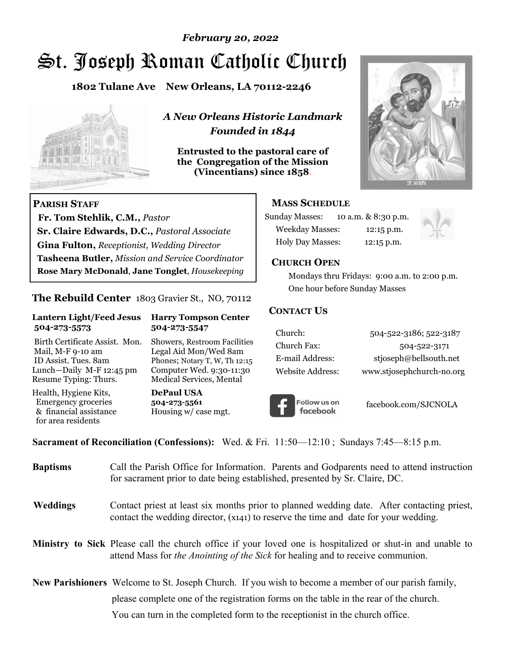# St. Joseph Roman Catholic Church *February 20, 2022*

**1802 Tulane Ave New Orleans, LA 70112-2246**



 **Fr. Tom Stehlik, C.M.,** *Pastor* 

**Sr. Claire Edwards, D.C.,** *Pastoral Associate* **Gina Fulton,** *Receptionist, Wedding Director* 

**Tasheena Butler,** *Mission and Service Coordinator* **Rose Mary McDonald**, **Jane Tonglet**, *Housekeeping*

**The Rebuild Center** 1803 Gravier St., NO, 70112

**Lantern Light/Feed Jesus Harry Tompson Center** 

Birth Certificate Assist. Mon. Showers, Restroom Facilities Mail, M-F 9-10 am Legal Aid Mon/Wed 8am ID Assist. Tues. 8am Phones; Notary T, W, Th 12:15 Lunch—Daily M-F 12:45 pm Computer Wed. 9:30-11:30 Resume Typing: Thurs. Medical Services, Mental

 **504-273-5573 504-273-5547** 

Health, Hygiene Kits, **DePaul USA**  Emergency groceries **504-273-5561**

& financial assistance Housing w/ case mgt.

**PARISH STAFF**

for area residents

*A New Orleans Historic Landmark Founded in 1844* 

**Entrusted to the pastoral care of the Congregation of the Mission (Vincentians) since 1858**.



#### **MASS SCHEDULE**

| <b>Sunday Masses:</b>  | 10 a.m. & 8:30 p.m. |
|------------------------|---------------------|
| <b>Weekday Masses:</b> | $12:15$ p.m.        |
| Holy Day Masses:       | 12:15 p.m.          |



#### **CHURCH OPEN**

 Mondays thru Fridays: 9:00 a.m. to 2:00 p.m. One hour before Sunday Masses

#### **CONTACT US**

| Church:          | 504-522-3186; 522-3187    |
|------------------|---------------------------|
| Church Fax:      | 504-522-3171              |
| E-mail Address:  | stjoseph@bellsouth.net    |
| Website Address: | www.stjosephchurch-no.org |



facebook.com/SJCNOLA

**Sacrament of Reconciliation (Confessions):** Wed. & Fri. 11:50—12:10 ; Sundays 7:45—8:15 p.m.

| <b>Baptisms</b> | Call the Parish Office for Information. Parents and Godparents need to attend instruction<br>for sacrament prior to date being established, presented by Sr. Claire, DC.                            |
|-----------------|-----------------------------------------------------------------------------------------------------------------------------------------------------------------------------------------------------|
| Weddings        | Contact priest at least six months prior to planned wedding date. After contacting priest,<br>contact the wedding director, (x141) to reserve the time and date for your wedding.                   |
|                 | <b>Ministry to Sick</b> Please call the church office if your loved one is hospitalized or shut-in and unable to<br>attend Mass for the Anointing of the Sick for healing and to receive communion. |
|                 | <b>New Parishioners</b> Welcome to St. Joseph Church. If you wish to become a member of our parish family,                                                                                          |
|                 | please complete one of the registration forms on the table in the rear of the church.                                                                                                               |
|                 | You can turn in the completed form to the reception ist in the church office.                                                                                                                       |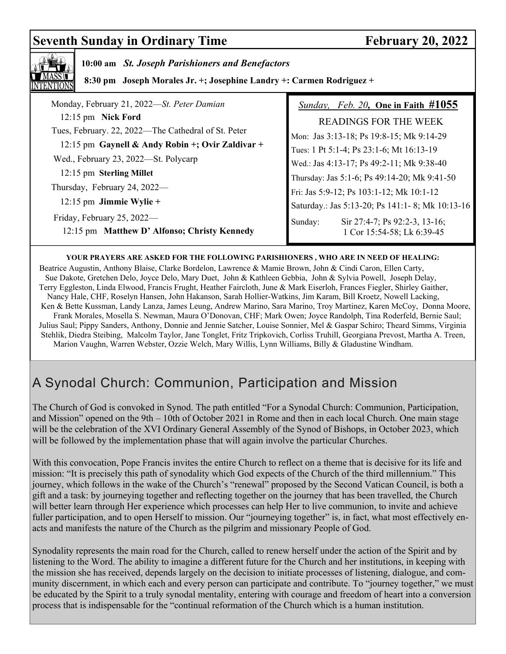# **Seventh Sunday in Ordinary Time February 20, 2022**



#### **YOUR PRAYERS ARE ASKED FOR THE FOLLOWING PARISHIONERS , WHO ARE IN NEED OF HEALING:**

 Beatrice Augustin, Anthony Blaise, Clarke Bordelon, Lawrence & Mamie Brown, John & Cindi Caron, Ellen Carty, Sue Dakote, Gretchen Delo, Joyce Delo, Mary Duet, John & Kathleen Gebbia, John & Sylvia Powell, Joseph Delay, Terry Eggleston, Linda Elwood, Francis Frught, Heather Faircloth, June & Mark Eiserloh, Frances Fiegler, Shirley Gaither, Nancy Hale, CHF, Roselyn Hansen, John Hakanson, Sarah Hollier-Watkins, Jim Karam, Bill Kroetz, Nowell Lacking, Ken & Bette Kussman, Landy Lanza, James Leung, Andrew Marino, Sara Marino, Troy Martinez, Karen McCoy, Donna Moore, Frank Morales, Mosella S. Newman, Maura O'Donovan, CHF; Mark Owen; Joyce Randolph, Tina Roderfeld, Bernie Saul; Julius Saul; Pippy Sanders, Anthony, Donnie and Jennie Satcher, Louise Sonnier, Mel & Gaspar Schiro; Theard Simms, Virginia Stehlik, Diedra Steibing, Malcolm Taylor, Jane Tonglet, Fritz Tripkovich, Corliss Truhill, Georgiana Prevost, Martha A. Treen, Marion Vaughn, Warren Webster, Ozzie Welch, Mary Willis, Lynn Williams, Billy & Gladustine Windham.

# A Synodal Church: Communion, Participation and Mission

The Church of God is convoked in Synod. The path entitled "For a Synodal Church: Communion, Participation, and Mission" opened on the 9th – 10th of October 2021 in Rome and then in each local Church. One main stage will be the celebration of the XVI Ordinary General Assembly of the Synod of Bishops, in October 2023, which will be followed by the implementation phase that will again involve the particular Churches.

With this convocation, Pope Francis invites the entire Church to reflect on a theme that is decisive for its life and mission: "It is precisely this path of synodality which God expects of the Church of the third millennium." This journey, which follows in the wake of the Church's "renewal" proposed by the Second Vatican Council, is both a gift and a task: by journeying together and reflecting together on the journey that has been travelled, the Church will better learn through Her experience which processes can help Her to live communion, to invite and achieve fuller participation, and to open Herself to mission. Our "journeying together" is, in fact, what most effectively enacts and manifests the nature of the Church as the pilgrim and missionary People of God.

Synodality represents the main road for the Church, called to renew herself under the action of the Spirit and by listening to the Word. The ability to imagine a different future for the Church and her institutions, in keeping with the mission she has received, depends largely on the decision to initiate processes of listening, dialogue, and community discernment, in which each and every person can participate and contribute. To "journey together," we must be educated by the Spirit to a truly synodal mentality, entering with courage and freedom of heart into a conversion process that is indispensable for the "continual reformation of the Church which is a human institution.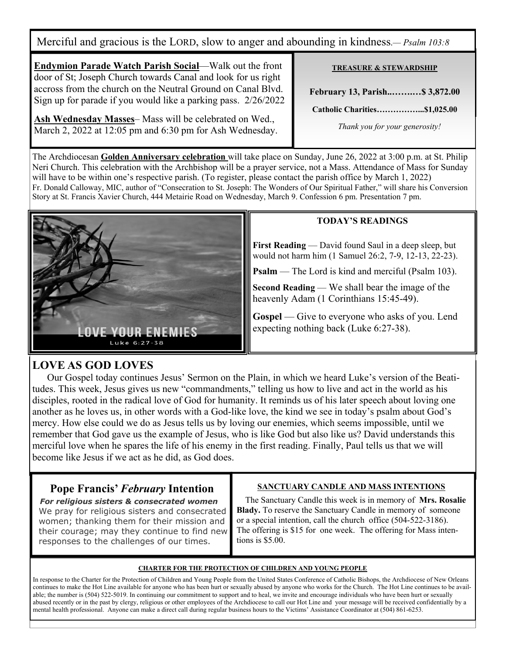Merciful and gracious is the LORD, slow to anger and abounding in kindness.*— Psalm 103:8*

**Endymion Parade Watch Parish Social**—Walk out the front door of St; Joseph Church towards Canal and look for us right accross from the church on the Neutral Ground on Canal Blvd. Sign up for parade if you would like a parking pass. 2/26/2022

**Ash Wednesday Masses**– Mass will be celebrated on Wed., March 2, 2022 at 12:05 pm and 6:30 pm for Ash Wednesday.

#### **TREASURE & STEWARDSHIP**

**February 13, Parish..…….…\$ 3,872.00** 

**Catholic Charities……………...\$1,025.00** 

 *Thank you for your generosity!* 

The Archdiocesan **Golden Anniversary celebration** will take place on Sunday, June 26, 2022 at 3:00 p.m. at St. Philip Neri Church. This celebration with the Archbishop will be a prayer service, not a Mass. Attendance of Mass for Sunday will have to be within one's respective parish. (To register, please contact the parish office by March 1, 2022) Fr. Donald Calloway, MIC, author of "Consecration to St. Joseph: The Wonders of Our Spiritual Father," will share his Conversion Story at St. Francis Xavier Church, 444 Metairie Road on Wednesday, March 9. Confession 6 pm. Presentation 7 pm.



#### **TODAY'S READINGS**

**First Reading** — David found Saul in a deep sleep, but would not harm him (1 Samuel 26:2, 7-9, 12-13, 22-23).

**Psalm** — The Lord is kind and merciful (Psalm 103).

**Second Reading** — We shall bear the image of the heavenly Adam (1 Corinthians 15:45-49).

**Gospel** — Give to everyone who asks of you. Lend expecting nothing back (Luke 6:27-38).

### **LOVE AS GOD LOVES**

Our Gospel today continues Jesus' Sermon on the Plain, in which we heard Luke's version of the Beatitudes. This week, Jesus gives us new "commandments," telling us how to live and act in the world as his disciples, rooted in the radical love of God for humanity. It reminds us of his later speech about loving one another as he loves us, in other words with a God-like love, the kind we see in today's psalm about God's mercy. How else could we do as Jesus tells us by loving our enemies, which seems impossible, until we remember that God gave us the example of Jesus, who is like God but also like us? David understands this merciful love when he spares the life of his enemy in the first reading. Finally, Paul tells us that we will become like Jesus if we act as he did, as God does.

### **Pope Francis'** *February* **Intention**

*For religious sisters & consecrated women* We pray for religious sisters and consecrated women; thanking them for their mission and their courage; may they continue to find new responses to the challenges of our times.

#### **SANCTUARY CANDLE AND MASS INTENTIONS**

 The Sanctuary Candle this week is in memory of **Mrs. Rosalie Blady.** To reserve the Sanctuary Candle in memory of someone or a special intention, call the church office (504-522-3186). The offering is \$15 for one week. The offering for Mass intentions is \$5.00.

#### **CHARTER FOR THE PROTECTION OF CHILDREN AND YOUNG PEOPLE**

In response to the Charter for the Protection of Children and Young People from the United States Conference of Catholic Bishops, the Archdiocese of New Orleans continues to make the Hot Line available for anyone who has been hurt or sexually abused by anyone who works for the Church. The Hot Line continues to be available; the number is (504) 522-5019. In continuing our commitment to support and to heal, we invite and encourage individuals who have been hurt or sexually abused recently or in the past by clergy, religious or other employees of the Archdiocese to call our Hot Line and your message will be received confidentially by a mental health professional. Anyone can make a direct call during regular business hours to the Victims' Assistance Coordinator at (504) 861-6253.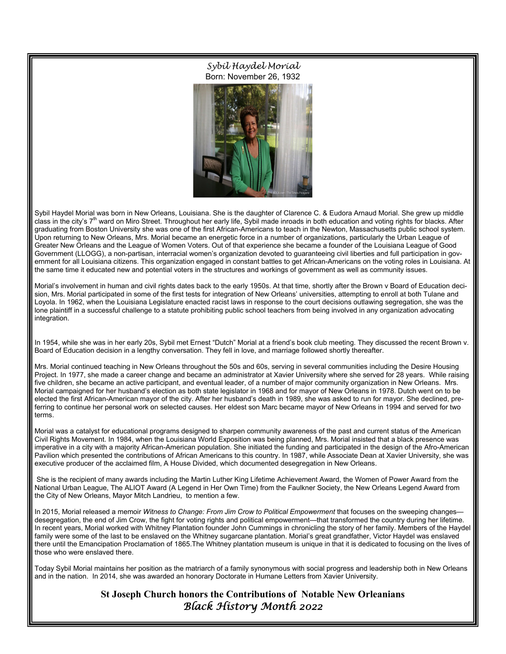Sybil Haydel Morial Born: November 26, 1932



Sybil Haydel Morial was born in New Orleans, Louisiana. She is the daughter of Clarence C. & Eudora Arnaud Morial. She grew up middle class in the city's 7<sup>th</sup> ward on Miro Street. Throughout her early life, Sybil made inroads in both education and voting rights for blacks. After graduating from Boston University she was one of the first African-Americans to teach in the Newton, Massachusetts public school system. Upon returning to New Orleans, Mrs. Morial became an energetic force in a number of organizations, particularly the Urban League of Greater New Orleans and the League of Women Voters. Out of that experience she became a founder of the Louisiana League of Good Government (LLOGG), a non-partisan, interracial women's organization devoted to guaranteeing civil liberties and full participation in government for all Louisiana citizens. This organization engaged in constant battles to get African-Americans on the voting roles in Louisiana. At the same time it educated new and potential voters in the structures and workings of government as well as community issues.

Morial's involvement in human and civil rights dates back to the early 1950s. At that time, shortly after the Brown v Board of Education decision, Mrs. Morial participated in some of the first tests for integration of New Orleans' universities, attempting to enroll at both Tulane and Loyola. In 1962, when the Louisiana Legislature enacted racist laws in response to the court decisions outlawing segregation, she was the lone plaintiff in a successful challenge to a statute prohibiting public school teachers from being involved in any organization advocating integration.

In 1954, while she was in her early 20s, Sybil met Ernest "Dutch" Morial at a friend's book club meeting. They discussed the recent Brown v. Board of Education decision in a lengthy conversation. They fell in love, and marriage followed shortly thereafter.

Mrs. Morial continued teaching in New Orleans throughout the 50s and 60s, serving in several communities including the Desire Housing Project. In 1977, she made a career change and became an administrator at Xavier University where she served for 28 years. While raising five children, she became an active participant, and eventual leader, of a number of major community organization in New Orleans. Mrs. Morial campaigned for her husband's election as both state legislator in 1968 and for mayor of New Orleans in 1978. Dutch went on to be elected the first African-American mayor of the city. After her husband's death in 1989, she was asked to run for mayor. She declined, preferring to continue her personal work on selected causes. Her eldest son Marc became mayor of New Orleans in 1994 and served for two terms.

Morial was a catalyst for educational programs designed to sharpen community awareness of the past and current status of the American Civil Rights Movement. In 1984, when the Louisiana World Exposition was being planned, Mrs. Morial insisted that a black presence was imperative in a city with a majority African-American population. She initiated the funding and participated in the design of the Afro-American Pavilion which presented the contributions of African Americans to this country. In 1987, while Associate Dean at Xavier University, she was executive producer of the acclaimed film, A House Divided, which documented desegregation in New Orleans.

 She is the recipient of many awards including the Martin Luther King Lifetime Achievement Award, the Women of Power Award from the National Urban League, The ALIOT Award (A Legend in Her Own Time) from the Faulkner Society, the New Orleans Legend Award from the City of New Orleans, Mayor Mitch Landrieu, to mention a few.

In 2015, Morial released a memoir Witness to Change: From Jim Crow to Political Empowerment that focuses on the sweeping changesdesegregation, the end of Jim Crow, the fight for voting rights and political empowerment—that transformed the country during her lifetime. In recent years, Morial worked with Whitney Plantation founder John Cummings in chronicling the story of her family. Members of the Haydel family were some of the last to be enslaved on the Whitney sugarcane plantation. Morial's great grandfather, Victor Haydel was enslaved there until the Emancipation Proclamation of 1865.The Whitney plantation museum is unique in that it is dedicated to focusing on the lives of those who were enslaved there.

Today Sybil Morial maintains her position as the matriarch of a family synonymous with social progress and leadership both in New Orleans and in the nation. In 2014, she was awarded an honorary Doctorate in Humane Letters from Xavier University.

> **St Joseph Church honors the Contributions of Notable New Orleanians** Black History Month 2022